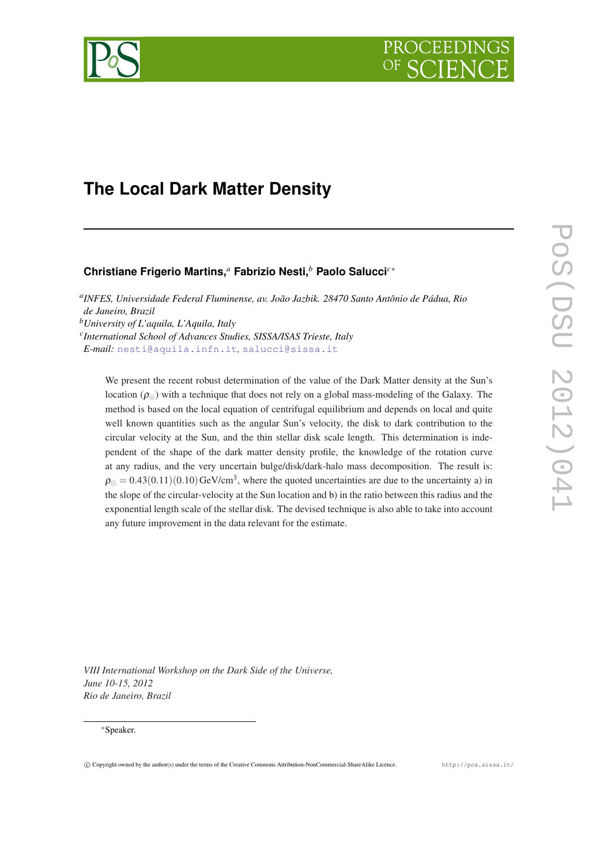



# **The Local Dark Matter Density**

## **Christiane Frigerio Martins,***<sup>a</sup>* **Fabrizio Nesti,***<sup>b</sup>* **Paolo Salucci***c*<sup>∗</sup>

*a INFES, Universidade Federal Fluminense, av. João Jazbik. 28470 Santo Antônio de Pádua, Rio de Janeiro, Brazil <sup>b</sup>University of L'aquila, L'Aquila, Italy c International School of Advances Studies, SISSA/ISAS Trieste, Italy E-mail:* [nesti@aquila.infn.it](mailto:nesti@aquila.infn.it)*,* [salucci@sissa.it](mailto:salucci@sissa.it)

We present the recent robust determination of the value of the Dark Matter density at the Sun's location  $(\rho_{\odot})$  with a technique that does not rely on a global mass-modeling of the Galaxy. The method is based on the local equation of centrifugal equilibrium and depends on local and quite well known quantities such as the angular Sun's velocity, the disk to dark contribution to the circular velocity at the Sun, and the thin stellar disk scale length. This determination is independent of the shape of the dark matter density profile, the knowledge of the rotation curve at any radius, and the very uncertain bulge/disk/dark-halo mass decomposition. The result is:  $\rho_{\odot} = 0.43(0.11)(0.10) \text{GeV/cm}^3$ , where the quoted uncertainties are due to the uncertainty a) in the slope of the circular-velocity at the Sun location and b) in the ratio between this radius and the exponential length scale of the stellar disk. The devised technique is also able to take into account any future improvement in the data relevant for the estimate.

*VIII International Workshop on the Dark Side of the Universe, June 10-15, 2012 Rio de Janeiro, Brazil*

#### <sup>∗</sup>Speaker.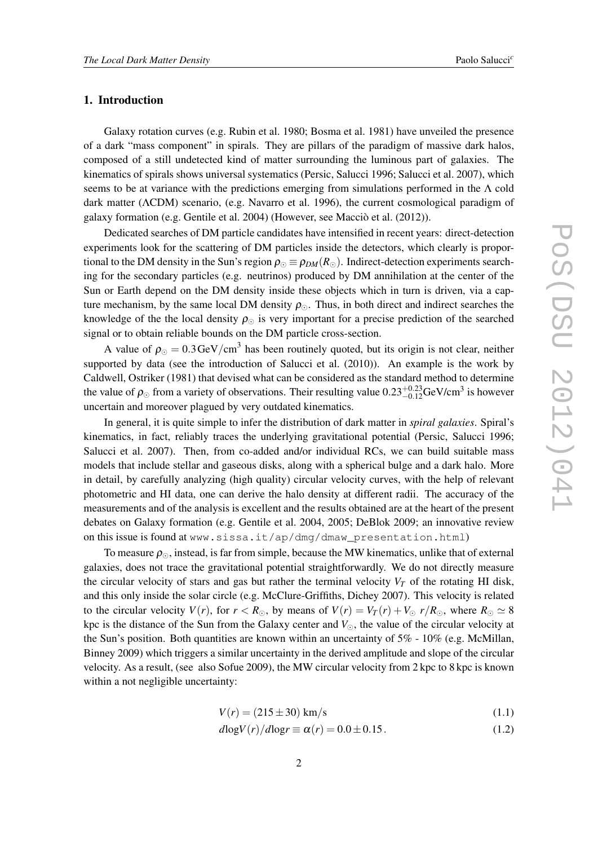### <span id="page-1-0"></span>1. Introduction

Galaxy rotation curves (e.g. Rubin et al. 1980; Bosma et al. 1981) have unveiled the presence of a dark "mass component" in spirals. They are pillars of the paradigm of massive dark halos, composed of a still undetected kind of matter surrounding the luminous part of galaxies. The kinematics of spirals shows universal systematics (Persic, Salucci 1996; Salucci et al. 2007), which seems to be at variance with the predictions emerging from simulations performed in the  $\Lambda$  cold dark matter (ΛCDM) scenario, (e.g. Navarro et al. 1996), the current cosmological paradigm of galaxy formation (e.g. Gentile et al. 2004) (However, see Macciò et al. (2012)).

Dedicated searches of DM particle candidates have intensified in recent years: direct-detection experiments look for the scattering of DM particles inside the detectors, which clearly is proportional to the DM density in the Sun's region  $\rho_{\Omega} \equiv \rho_{DM}(R_{\Omega})$ . Indirect-detection experiments searching for the secondary particles (e.g. neutrinos) produced by DM annihilation at the center of the Sun or Earth depend on the DM density inside these objects which in turn is driven, via a capture mechanism, by the same local DM density  $\rho_{\odot}$ . Thus, in both direct and indirect searches the knowledge of the the local density  $\rho_{\odot}$  is very important for a precise prediction of the searched signal or to obtain reliable bounds on the DM particle cross-section.

A value of  $\rho_{\odot} = 0.3 \text{GeV/cm}^3$  has been routinely quoted, but its origin is not clear, neither supported by data (see the introduction of Salucci et al. (2010)). An example is the work by Caldwell, Ostriker (1981) that devised what can be considered as the standard method to determine the value of  $\rho_{\odot}$  from a variety of observations. Their resulting value  $0.23^{+0.23}_{-0.12}$ GeV/cm<sup>3</sup> is however uncertain and moreover plagued by very outdated kinematics.

In general, it is quite simple to infer the distribution of dark matter in *spiral galaxies*. Spiral's kinematics, in fact, reliably traces the underlying gravitational potential (Persic, Salucci 1996; Salucci et al. 2007). Then, from co-added and/or individual RCs, we can build suitable mass models that include stellar and gaseous disks, along with a spherical bulge and a dark halo. More in detail, by carefully analyzing (high quality) circular velocity curves, with the help of relevant photometric and HI data, one can derive the halo density at different radii. The accuracy of the measurements and of the analysis is excellent and the results obtained are at the heart of the present debates on Galaxy formation (e.g. Gentile et al. 2004, 2005; DeBlok 2009; an innovative review on this issue is found at www.sissa.it/ap/dmg/dmaw\_presentation.html)

To measure  $\rho_{\odot}$ , instead, is far from simple, because the MW kinematics, unlike that of external galaxies, does not trace the gravitational potential straightforwardly. We do not directly measure the circular velocity of stars and gas but rather the terminal velocity  $V_T$  of the rotating HI disk, and this only inside the solar circle (e.g. McClure-Griffiths, Dichey 2007). This velocity is related to the circular velocity  $V(r)$ , for  $r < R_{\odot}$ , by means of  $V(r) = V_T(r) + V_{\odot} r/R_{\odot}$ , where  $R_{\odot} \simeq 8$ kpc is the distance of the Sun from the Galaxy center and  $V_{\odot}$ , the value of the circular velocity at the Sun's position. Both quantities are known within an uncertainty of 5% - 10% (e.g. McMillan, Binney 2009) which triggers a similar uncertainty in the derived amplitude and slope of the circular velocity. As a result, (see also Sofue 2009), the MW circular velocity from 2 kpc to 8 kpc is known within a not negligible uncertainty:

$$
V(r) = (215 \pm 30) \text{ km/s}
$$
 (1.1)

$$
d\log V(r)/d\log r \equiv \alpha(r) = 0.0 \pm 0.15. \tag{1.2}
$$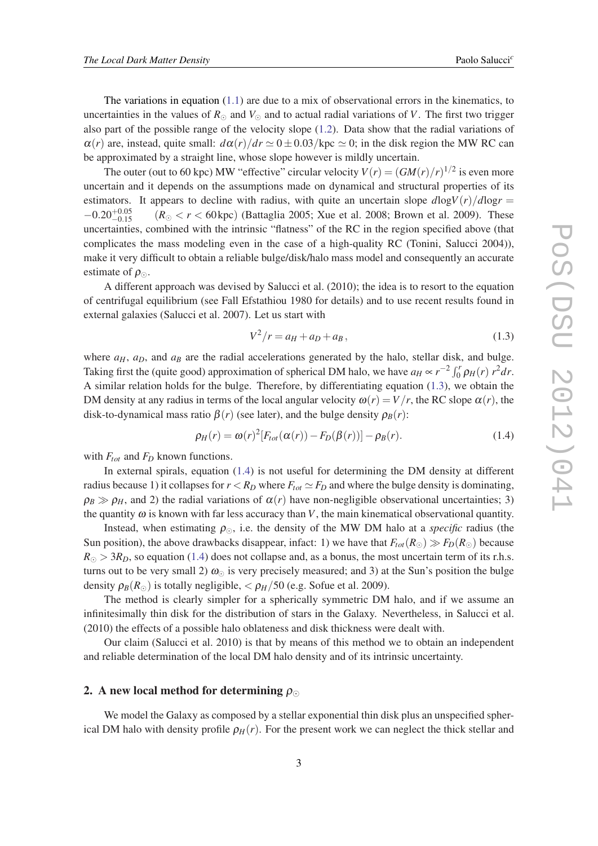The variations in equation  $(1.1)$  are due to a mix of observational errors in the kinematics, to uncertainties in the values of  $R_{\odot}$  and  $V_{\odot}$  and to actual radial variations of *V*. The first two trigger also part of the possible range of the velocity slope [\(1.2\)](#page-1-0). Data show that the radial variations of  $\alpha(r)$  are, instead, quite small:  $d\alpha(r)/dr \simeq 0 \pm 0.03/\text{kpc} \simeq 0$ ; in the disk region the MW RC can be approximated by a straight line, whose slope however is mildly uncertain.

The outer (out to 60 kpc) MW "effective" circular velocity  $V(r) = (GM(r)/r)^{1/2}$  is even more uncertain and it depends on the assumptions made on dynamical and structural properties of its estimators. It appears to decline with radius, with quite an uncertain slope  $dlogV(r)/dlogr =$  $-0.20_{-0.15}^{+0.05}$  $(R_{\odot} < r < 60 \,\text{kpc})$  (Battaglia 2005; Xue et al. 2008; Brown et al. 2009). These uncertainties, combined with the intrinsic "flatness" of the RC in the region specified above (that complicates the mass modeling even in the case of a high-quality RC (Tonini, Salucci 2004)), make it very difficult to obtain a reliable bulge/disk/halo mass model and consequently an accurate estimate of  $\rho_{\odot}$ .

A different approach was devised by Salucci et al. (2010); the idea is to resort to the equation of centrifugal equilibrium (see Fall Efstathiou 1980 for details) and to use recent results found in external galaxies (Salucci et al. 2007). Let us start with

$$
V^2/r = a_H + a_D + a_B, \t\t(1.3)
$$

where  $a_H$ ,  $a_D$ , and  $a_B$  are the radial accelerations generated by the halo, stellar disk, and bulge. Taking first the (quite good) approximation of spherical DM halo, we have  $a_H \propto r^{-2} \int_0^r \rho_H(r) r^2 dr$ . A similar relation holds for the bulge. Therefore, by differentiating equation (1.3), we obtain the DM density at any radius in terms of the local angular velocity  $\omega(r) = V/r$ , the RC slope  $\alpha(r)$ , the disk-to-dynamical mass ratio  $\beta(r)$  (see later), and the bulge density  $\rho_B(r)$ :

$$
\rho_H(r) = \omega(r)^2 [F_{tot}(\alpha(r)) - F_D(\beta(r))] - \rho_B(r). \tag{1.4}
$$

with *Ftot* and *F<sup>D</sup>* known functions.

In external spirals, equation (1.4) is not useful for determining the DM density at different radius because 1) it collapses for  $r < R_D$  where  $F_{tot} \simeq F_D$  and where the bulge density is dominating,  $\rho_B \gg \rho_H$ , and 2) the radial variations of  $\alpha(r)$  have non-negligible observational uncertainties; 3) the quantity  $\omega$  is known with far less accuracy than *V*, the main kinematical observational quantity.

Instead, when estimating  $\rho_{\odot}$ , i.e. the density of the MW DM halo at a *specific* radius (the Sun position), the above drawbacks disappear, infact: 1) we have that  $F_{tot}(R_{\odot}) \gg F_D(R_{\odot})$  because  $R_{\odot} > 3R_D$ , so equation (1.4) does not collapse and, as a bonus, the most uncertain term of its r.h.s. turns out to be very small 2)  $\omega_{\odot}$  is very precisely measured; and 3) at the Sun's position the bulge density  $\rho_B(R_{\odot})$  is totally negligible,  $\langle \rho_H/50 \rangle$  (e.g. Sofue et al. 2009).

The method is clearly simpler for a spherically symmetric DM halo, and if we assume an infinitesimally thin disk for the distribution of stars in the Galaxy. Nevertheless, in Salucci et al. (2010) the effects of a possible halo oblateness and disk thickness were dealt with.

Our claim (Salucci et al. 2010) is that by means of this method we to obtain an independent and reliable determination of the local DM halo density and of its intrinsic uncertainty.

### 2. A new local method for determining  $\rho_{\odot}$

We model the Galaxy as composed by a stellar exponential thin disk plus an unspecified spherical DM halo with density profile  $\rho_H(r)$ . For the present work we can neglect the thick stellar and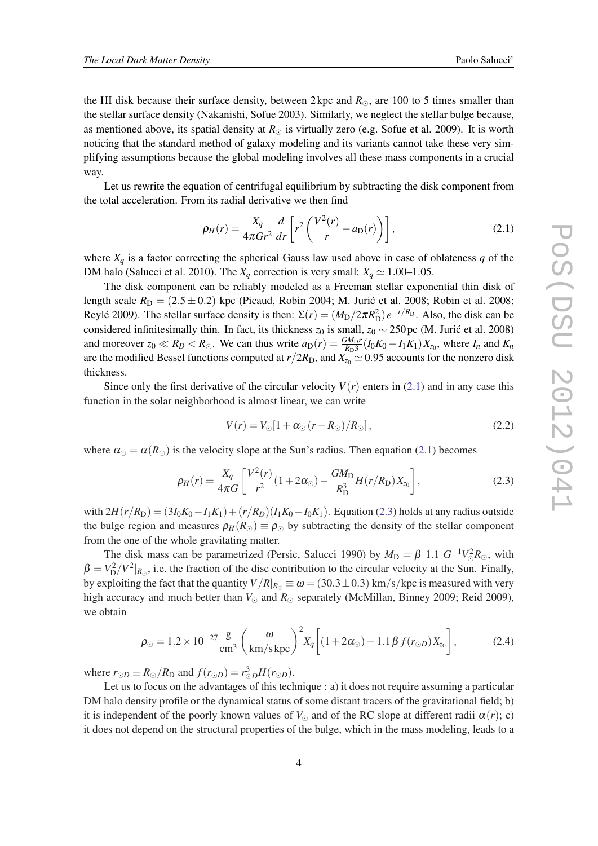<span id="page-3-0"></span>the HI disk because their surface density, between 2 kpc and  $R_{\odot}$ , are 100 to 5 times smaller than the stellar surface density (Nakanishi, Sofue 2003). Similarly, we neglect the stellar bulge because, as mentioned above, its spatial density at  $R_{\odot}$  is virtually zero (e.g. Sofue et al. 2009). It is worth noticing that the standard method of galaxy modeling and its variants cannot take these very simplifying assumptions because the global modeling involves all these mass components in a crucial way.

Let us rewrite the equation of centrifugal equilibrium by subtracting the disk component from the total acceleration. From its radial derivative we then find

$$
\rho_H(r) = \frac{X_q}{4\pi G r^2} \frac{d}{dr} \left[ r^2 \left( \frac{V^2(r)}{r} - a_\text{D}(r) \right) \right],\tag{2.1}
$$

where  $X_q$  is a factor correcting the spherical Gauss law used above in case of oblateness  $q$  of the DM halo (Salucci et al. 2010). The  $X_q$  correction is very small:  $X_q \simeq 1.00-1.05$ .

The disk component can be reliably modeled as a Freeman stellar exponential thin disk of length scale  $R_D = (2.5 \pm 0.2)$  kpc (Picaud, Robin 2004; M. Jurić et al. 2008; Robin et al. 2008; Reylé 2009). The stellar surface density is then:  $\Sigma(r) = (M_{D}/2\pi R_{D}^{2})e^{-r/R_{D}}$ . Also, the disk can be considered infinitesimally thin. In fact, its thickness  $z_0$  is small,  $z_0 \sim 250$  pc (M. Juric et al. 2008) and moreover  $z_0 \ll R_D < R_{\odot}$ . We can thus write  $a_D(r) = \frac{GM_D r}{R_D^3} (I_0 K_0 - I_1 K_1) X_{z_0}$ , where  $I_n$  and  $K_n$ are the modified Bessel functions computed at  $r/2R_D$ , and  $X_{z_0} \simeq 0.95$  accounts for the nonzero disk thickness.

Since only the first derivative of the circular velocity  $V(r)$  enters in (2.1) and in any case this function in the solar neighborhood is almost linear, we can write

$$
V(r) = V_{\odot} [1 + \alpha_{\odot} (r - R_{\odot}) / R_{\odot}], \qquad (2.2)
$$

where  $\alpha_{\odot} = \alpha(R_{\odot})$  is the velocity slope at the Sun's radius. Then equation (2.1) becomes

$$
\rho_H(r) = \frac{X_q}{4\pi G} \left[ \frac{V^2(r)}{r^2} (1 + 2\alpha_\odot) - \frac{GM_\text{D}}{R_\text{D}^3} H(r/R_\text{D}) X_{z_0} \right],\tag{2.3}
$$

 $\text{with } 2H(r/R_{\text{D}}) = (3I_0K_0 - I_1K_1) + (r/R_{\text{D}})(I_1K_0 - I_0K_1)$ . Equation (2.3) holds at any radius outside the bulge region and measures  $\rho_H(R_{\odot}) \equiv \rho_{\odot}$  by subtracting the density of the stellar component from the one of the whole gravitating matter.

The disk mass can be parametrized (Persic, Salucci 1990) by  $M_D = \beta 1.1 G^{-1} V_{\odot}^2 R_{\odot}$ , with  $\beta = V_D^2/V^2|_{R_{\odot}}$ , i.e. the fraction of the disc contribution to the circular velocity at the Sun. Finally, by exploiting the fact that the quantity  $V/R_{R_{\odot}} \equiv \omega = (30.3 \pm 0.3) \text{ km/s/kpc}$  is measured with very high accuracy and much better than  $V_{\odot}$  and  $R_{\odot}$  separately (McMillan, Binney 2009; Reid 2009), we obtain

$$
\rho_{\odot} = 1.2 \times 10^{-27} \frac{\text{g}}{\text{cm}^3} \left( \frac{\omega}{\text{km/s kpc}} \right)^2 X_q \left[ (1 + 2\alpha_{\odot}) - 1.1 \beta f(r_{\odot D}) X_{z_0} \right],\tag{2.4}
$$

where  $r_{\odot D} \equiv R_{\odot}/R_{\rm D}$  and  $f(r_{\odot D}) = r_{\odot D}^3 H(r_{\odot D})$ .

Let us to focus on the advantages of this technique : a) it does not require assuming a particular DM halo density profile or the dynamical status of some distant tracers of the gravitational field; b) it is independent of the poorly known values of  $V_{\odot}$  and of the RC slope at different radii  $\alpha(r)$ ; c) it does not depend on the structural properties of the bulge, which in the mass modeling, leads to a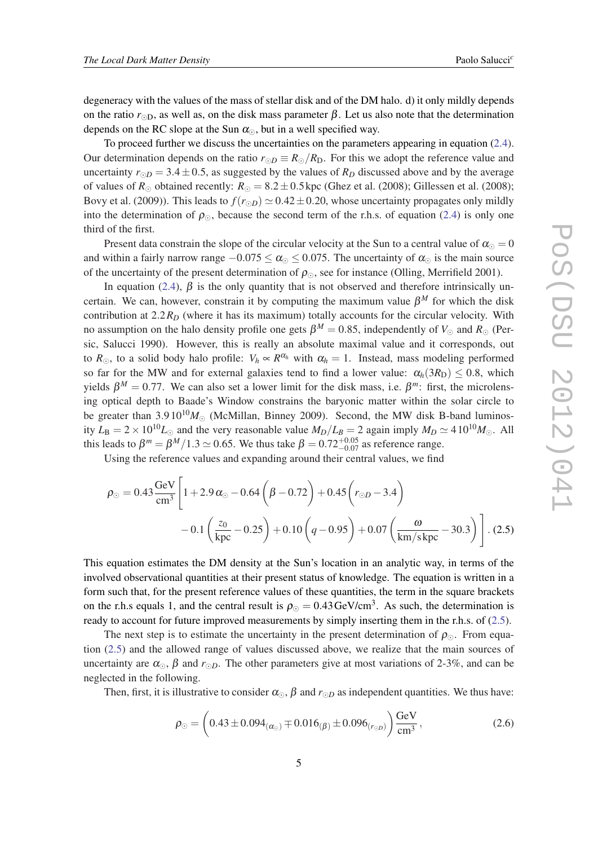<span id="page-4-0"></span>degeneracy with the values of the mass of stellar disk and of the DM halo. d) it only mildly depends on the ratio  $r_{\odot D}$ , as well as, on the disk mass parameter  $\beta$ . Let us also note that the determination depends on the RC slope at the Sun  $\alpha_{\odot}$ , but in a well specified way.

To proceed further we discuss the uncertainties on the parameters appearing in equation ([2.4\)](#page-3-0). Our determination depends on the ratio  $r_{\odot D} \equiv R_{\odot}/R_{\rm D}$ . For this we adopt the reference value and uncertainty  $r_{\odot D} = 3.4 \pm 0.5$ , as suggested by the values of  $R_D$  discussed above and by the average of values of  $R_{\odot}$  obtained recently:  $R_{\odot} = 8.2 \pm 0.5$  kpc (Ghez et al. (2008); Gillessen et al. (2008); Bovy et al. (2009)). This leads to  $f(r_{\odot D}) \simeq 0.42 \pm 0.20$ , whose uncertainty propagates only mildly into the determination of  $\rho_{\odot}$ , because the second term of the r.h.s. of equation [\(2.4](#page-3-0)) is only one third of the first.

Present data constrain the slope of the circular velocity at the Sun to a central value of  $\alpha_{\odot} = 0$ and within a fairly narrow range  $-0.075 \le \alpha_{\odot} \le 0.075$ . The uncertainty of  $\alpha_{\odot}$  is the main source of the uncertainty of the present determination of  $\rho_{\odot}$ , see for instance (Olling, Merrifield 2001).

In equation [\(2.4](#page-3-0)),  $\beta$  is the only quantity that is not observed and therefore intrinsically uncertain. We can, however, constrain it by computing the maximum value  $\beta^M$  for which the disk contribution at 2.2*R<sup>D</sup>* (where it has its maximum) totally accounts for the circular velocity. With no assumption on the halo density profile one gets  $\beta^M = 0.85$ , independently of  $V_{\odot}$  and  $R_{\odot}$  (Persic, Salucci 1990). However, this is really an absolute maximal value and it corresponds, out to  $R_{\odot}$ , to a solid body halo profile:  $V_h \propto R^{\alpha_h}$  with  $\alpha_h = 1$ . Instead, mass modeling performed so far for the MW and for external galaxies tend to find a lower value:  $\alpha_h(3R_D) \leq 0.8$ , which yields  $β<sup>M</sup> = 0.77$ . We can also set a lower limit for the disk mass, i.e.  $β<sup>m</sup>$ : first, the microlensing optical depth to Baade's Window constrains the baryonic matter within the solar circle to be greater than  $3.9 10^{10} M_{\odot}$  (McMillan, Binney 2009). Second, the MW disk B-band luminosity  $L_B = 2 \times 10^{10} L_{\odot}$  and the very reasonable value  $M_D/L_B = 2$  again imply  $M_D \simeq 4 \cdot 10^{10} M_{\odot}$ . All this leads to  $\beta^m = \beta^M/1.3 \simeq 0.65$ . We thus take  $\beta = 0.72^{+0.05}_{-0.07}$  as reference range.

Using the reference values and expanding around their central values, we find

$$
\rho_{\odot} = 0.43 \frac{\text{GeV}}{\text{cm}^3} \left[ 1 + 2.9 \alpha_{\odot} - 0.64 \left( \beta - 0.72 \right) + 0.45 \left( r_{\odot} - 3.4 \right) \right.- 0.1 \left( \frac{z_0}{\text{kpc}} - 0.25 \right) + 0.10 \left( q - 0.95 \right) + 0.07 \left( \frac{\omega}{\text{km/skpc}} - 30.3 \right) \right]. (2.5)
$$

This equation estimates the DM density at the Sun's location in an analytic way, in terms of the involved observational quantities at their present status of knowledge. The equation is written in a form such that, for the present reference values of these quantities, the term in the square brackets on the r.h.s equals 1, and the central result is  $\rho_{\odot} = 0.43 \,\text{GeV/cm}^3$ . As such, the determination is ready to account for future improved measurements by simply inserting them in the r.h.s. of (2.5).

The next step is to estimate the uncertainty in the present determination of  $\rho_{\odot}$ . From equation (2.5) and the allowed range of values discussed above, we realize that the main sources of uncertainty are  $\alpha_{\odot}$ ,  $\beta$  and  $r_{\odot}$ . The other parameters give at most variations of 2-3%, and can be neglected in the following.

Then, first, it is illustrative to consider  $\alpha_{\odot}$ ,  $\beta$  and  $r_{\odot}$  as independent quantities. We thus have:

$$
\rho_{\odot} = \left(0.43 \pm 0.094_{(\alpha_{\odot})} \mp 0.016_{(\beta)} \pm 0.096_{(r_{\odot}D)}\right) \frac{\text{GeV}}{\text{cm}^3},\tag{2.6}
$$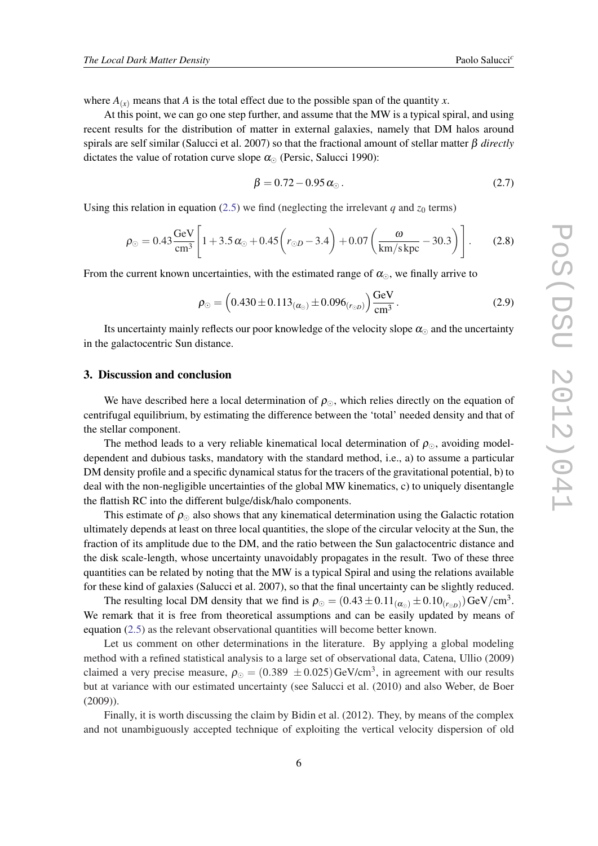where  $A_{(x)}$  means that  $A$  is the total effect due to the possible span of the quantity  $x$ .

At this point, we can go one step further, and assume that the MW is a typical spiral, and using recent results for the distribution of matter in external galaxies, namely that DM halos around spirals are self similar (Salucci et al. 2007) so that the fractional amount of stellar matter β *directly* dictates the value of rotation curve slope  $\alpha_{\odot}$  (Persic, Salucci 1990):

$$
\beta = 0.72 - 0.95 \,\alpha_{\odot} \,. \tag{2.7}
$$

Using this relation in equation ([2.5](#page-4-0)) we find (neglecting the irrelevant *q* and  $z_0$  terms)

$$
\rho_{\odot} = 0.43 \frac{\text{GeV}}{\text{cm}^3} \left[ 1 + 3.5 \alpha_{\odot} + 0.45 \left( r_{\odot D} - 3.4 \right) + 0.07 \left( \frac{\omega}{\text{km/s kpc}} - 30.3 \right) \right].
$$
 (2.8)

From the current known uncertainties, with the estimated range of  $\alpha_{\odot}$ , we finally arrive to

$$
\rho_{\odot} = \left(0.430 \pm 0.113_{(\alpha_{\odot})} \pm 0.096_{(r_{\odot}D)}\right) \frac{\text{GeV}}{\text{cm}^3} \,. \tag{2.9}
$$

Its uncertainty mainly reflects our poor knowledge of the velocity slope  $\alpha_{\Omega}$  and the uncertainty in the galactocentric Sun distance.

#### 3. Discussion and conclusion

We have described here a local determination of  $\rho_{\odot}$ , which relies directly on the equation of centrifugal equilibrium, by estimating the difference between the 'total' needed density and that of the stellar component.

The method leads to a very reliable kinematical local determination of  $\rho_{\odot}$ , avoiding modeldependent and dubious tasks, mandatory with the standard method, i.e., a) to assume a particular DM density profile and a specific dynamical status for the tracers of the gravitational potential, b) to deal with the non-negligible uncertainties of the global MW kinematics, c) to uniquely disentangle the flattish RC into the different bulge/disk/halo components.

This estimate of  $\rho_{\odot}$  also shows that any kinematical determination using the Galactic rotation ultimately depends at least on three local quantities, the slope of the circular velocity at the Sun, the fraction of its amplitude due to the DM, and the ratio between the Sun galactocentric distance and the disk scale-length, whose uncertainty unavoidably propagates in the result. Two of these three quantities can be related by noting that the MW is a typical Spiral and using the relations available for these kind of galaxies (Salucci et al. 2007), so that the final uncertainty can be slightly reduced.

The resulting local DM density that we find is  $\rho_{\odot} = (0.43 \pm 0.11_{(\alpha_{\odot})} \pm 0.10_{(r_{\odot}D)}) \text{GeV/cm}^3$ . We remark that it is free from theoretical assumptions and can be easily updated by means of equation [\(2.5\)](#page-4-0) as the relevant observational quantities will become better known.

Let us comment on other determinations in the literature. By applying a global modeling method with a refined statistical analysis to a large set of observational data, Catena, Ullio (2009) claimed a very precise measure,  $\rho_{\odot} = (0.389 \pm 0.025) \text{GeV/cm}^3$ , in agreement with our results but at variance with our estimated uncertainty (see Salucci et al. (2010) and also Weber, de Boer (2009)).

Finally, it is worth discussing the claim by Bidin et al. (2012). They, by means of the complex and not unambiguously accepted technique of exploiting the vertical velocity dispersion of old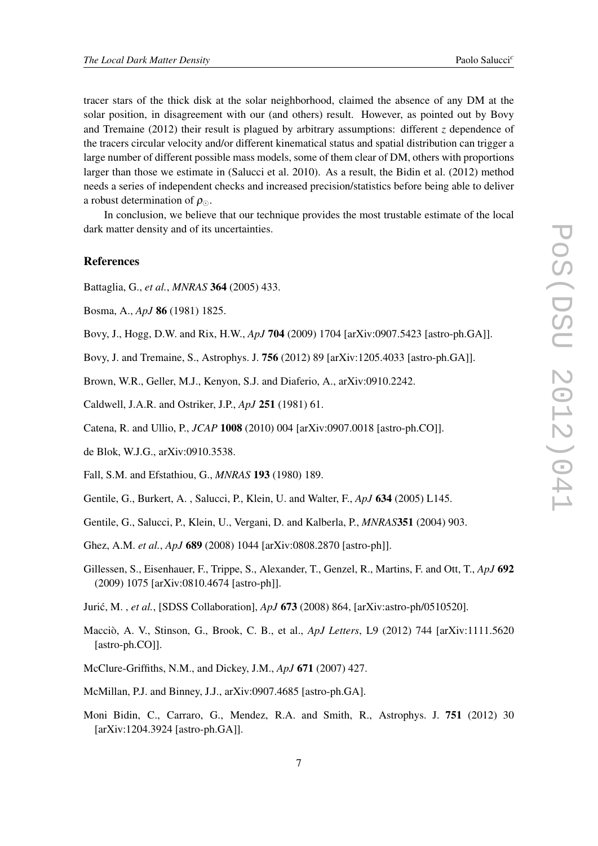tracer stars of the thick disk at the solar neighborhood, claimed the absence of any DM at the solar position, in disagreement with our (and others) result. However, as pointed out by Bovy and Tremaine (2012) their result is plagued by arbitrary assumptions: different *z* dependence of the tracers circular velocity and/or different kinematical status and spatial distribution can trigger a large number of different possible mass models, some of them clear of DM, others with proportions larger than those we estimate in (Salucci et al. 2010). As a result, the Bidin et al. (2012) method needs a series of independent checks and increased precision/statistics before being able to deliver a robust determination of  $\rho_{\odot}$ .

In conclusion, we believe that our technique provides the most trustable estimate of the local dark matter density and of its uncertainties.

### References

- Battaglia, G., *et al.*, *MNRAS* 364 (2005) 433.
- Bosma, A., *ApJ* 86 (1981) 1825.
- Bovy, J., Hogg, D.W. and Rix, H.W., *ApJ* 704 (2009) 1704 [arXiv:0907.5423 [astro-ph.GA]].
- Bovy, J. and Tremaine, S., Astrophys. J. 756 (2012) 89 [arXiv:1205.4033 [astro-ph.GA]].
- Brown, W.R., Geller, M.J., Kenyon, S.J. and Diaferio, A., arXiv:0910.2242.
- Caldwell, J.A.R. and Ostriker, J.P., *ApJ* 251 (1981) 61.
- Catena, R. and Ullio, P., *JCAP* 1008 (2010) 004 [arXiv:0907.0018 [astro-ph.CO]].
- de Blok, W.J.G., arXiv:0910.3538.
- Fall, S.M. and Efstathiou, G., *MNRAS* 193 (1980) 189.
- Gentile, G., Burkert, A. , Salucci, P., Klein, U. and Walter, F., *ApJ* 634 (2005) L145.
- Gentile, G., Salucci, P., Klein, U., Vergani, D. and Kalberla, P., *MNRAS*351 (2004) 903.
- Ghez, A.M. *et al.*, *ApJ* 689 (2008) 1044 [arXiv:0808.2870 [astro-ph]].
- Gillessen, S., Eisenhauer, F., Trippe, S., Alexander, T., Genzel, R., Martins, F. and Ott, T., *ApJ* 692 (2009) 1075 [arXiv:0810.4674 [astro-ph]].
- Jurić, M., *et al.*, [SDSS Collaboration], *ApJ* **673** (2008) 864, [arXiv:astro-ph/0510520].
- Macciò, A. V., Stinson, G., Brook, C. B., et al., *ApJ Letters*, L9 (2012) 744 [arXiv:1111.5620 [astro-ph.CO]].
- McClure-Griffiths, N.M., and Dickey, J.M., *ApJ* 671 (2007) 427.
- McMillan, P.J. and Binney, J.J., arXiv:0907.4685 [astro-ph.GA].
- Moni Bidin, C., Carraro, G., Mendez, R.A. and Smith, R., Astrophys. J. 751 (2012) 30 [arXiv:1204.3924 [astro-ph.GA]].